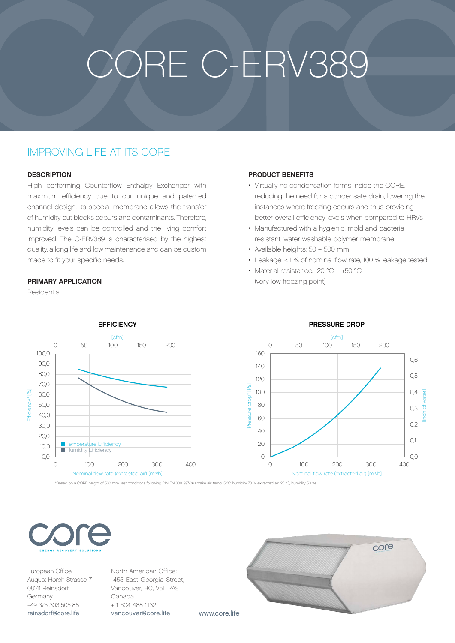# CORE C-ERV389

## IMPROVING LIFE AT ITS CORE

#### **DESCRIPTION**

High performing Counterflow Enthalpy Exchanger with maximum efficiency due to our unique and patented channel design. Its special membrane allows the transfer of humidity but blocks odours and contaminants. Therefore, humidity levels can be controlled and the living comfort improved. The C-ERV389 is characterised by the highest quality, a long life and low maintenance and can be custom made to fit your specific needs.

#### PRIMARY APPLICATION

Residential



\*Based on a CORE height of 500 mm, test conditions following DIN EN 308:1997-06 (intake air: temp. 5 °C, humidity 70 %; extracted air: 25 °C, humidity 50 %)



European Office: August-Horch-Strasse 7 08141 Reinsdorf Germany +49 375 303 505 88 [reinsdorf@core.life](mailto:reinsdorf%40core.life?subject=)

North American Office: 1455 East Georgia Street, Vancouver, BC, V5L 2A9 Canada + 1 604 488 1132 [vancouver@core.life](mailto:vancouver%40core.life?subject=)



#### PRESSURE DROP

### PRODUCT BENEFITS

- Virtually no condensation forms inside the CORE, reducing the need for a condensate drain, lowering the instances where freezing occurs and thus providing better overall efficiency levels when compared to HRVs
- Manufactured with a hygienic, mold and bacteria resistant, water washable polymer membrane
- Available heights: 50 500 mm
- Leakage: < 1 % of nominal flow rate, 100 % leakage tested
- Material resistance: -20 °C +50 °C (very low freezing point)

www.core.life